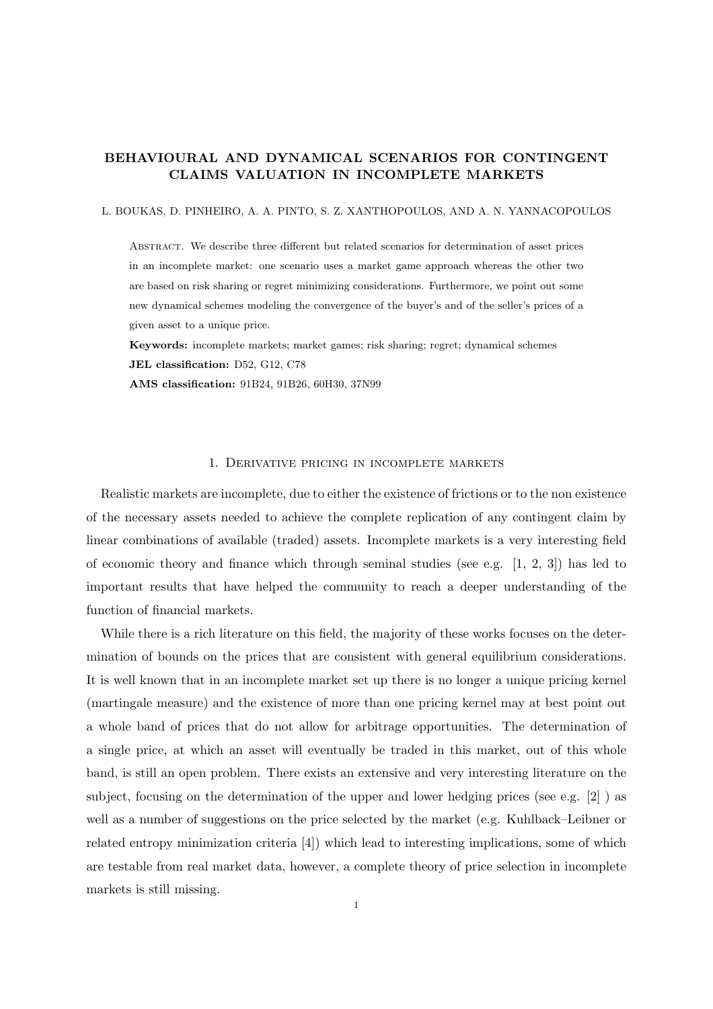# BEHAVIOURAL AND DYNAMICAL SCENARIOS FOR CONTINGENT CLAIMS VALUATION IN INCOMPLETE MARKETS

L. BOUKAS, D. PINHEIRO, A. A. PINTO, S. Z. XANTHOPOULOS, AND A. N. YANNACOPOULOS

Abstract. We describe three different but related scenarios for determination of asset prices in an incomplete market: one scenario uses a market game approach whereas the other two are based on risk sharing or regret minimizing considerations. Furthermore, we point out some new dynamical schemes modeling the convergence of the buyer's and of the seller's prices of a given asset to a unique price.

Keywords: incomplete markets; market games; risk sharing; regret; dynamical schemes JEL classification: D52, G12, C78

AMS classification: 91B24, 91B26, 60H30, 37N99

## 1. Derivative pricing in incomplete markets

Realistic markets are incomplete, due to either the existence of frictions or to the non existence of the necessary assets needed to achieve the complete replication of any contingent claim by linear combinations of available (traded) assets. Incomplete markets is a very interesting field of economic theory and finance which through seminal studies (see e.g.  $[1, 2, 3]$ ) has led to important results that have helped the community to reach a deeper understanding of the function of financial markets.

While there is a rich literature on this field, the majority of these works focuses on the determination of bounds on the prices that are consistent with general equilibrium considerations. It is well known that in an incomplete market set up there is no longer a unique pricing kernel (martingale measure) and the existence of more than one pricing kernel may at best point out a whole band of prices that do not allow for arbitrage opportunities. The determination of a single price, at which an asset will eventually be traded in this market, out of this whole band, is still an open problem. There exists an extensive and very interesting literature on the subject, focusing on the determination of the upper and lower hedging prices (see e.g.  $[2]$ ) as well as a number of suggestions on the price selected by the market (e.g. Kuhlback–Leibner or related entropy minimization criteria [4]) which lead to interesting implications, some of which are testable from real market data, however, a complete theory of price selection in incomplete markets is still missing.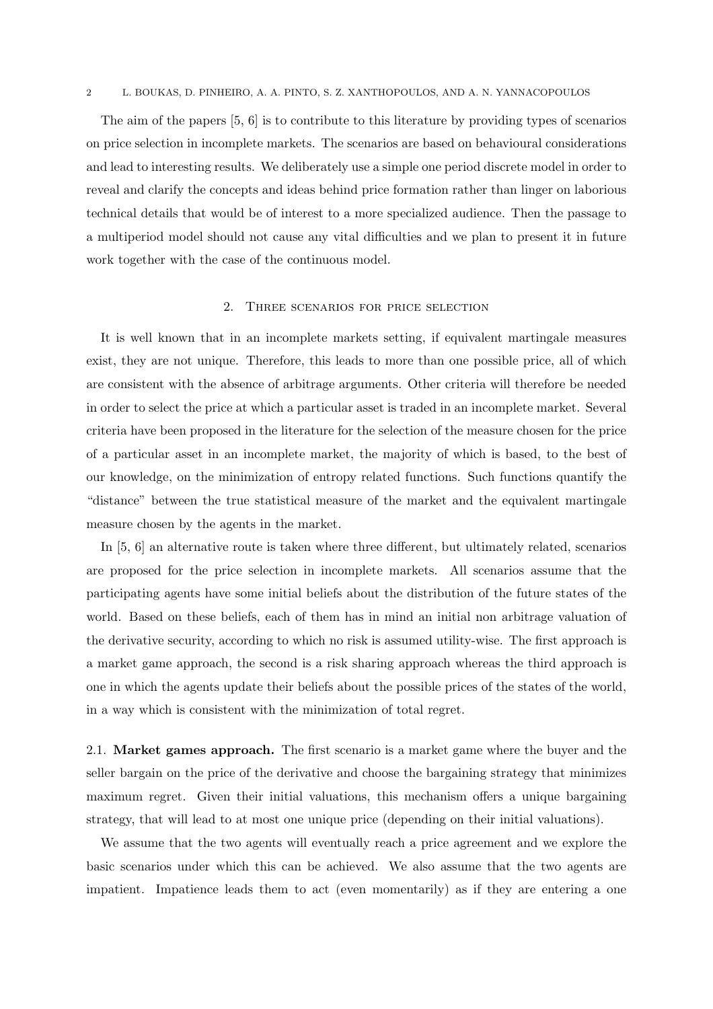#### 2 L. BOUKAS, D. PINHEIRO, A. A. PINTO, S. Z. XANTHOPOULOS, AND A. N. YANNACOPOULOS

The aim of the papers [5, 6] is to contribute to this literature by providing types of scenarios on price selection in incomplete markets. The scenarios are based on behavioural considerations and lead to interesting results. We deliberately use a simple one period discrete model in order to reveal and clarify the concepts and ideas behind price formation rather than linger on laborious technical details that would be of interest to a more specialized audience. Then the passage to a multiperiod model should not cause any vital difficulties and we plan to present it in future work together with the case of the continuous model.

# 2. Three scenarios for price selection

It is well known that in an incomplete markets setting, if equivalent martingale measures exist, they are not unique. Therefore, this leads to more than one possible price, all of which are consistent with the absence of arbitrage arguments. Other criteria will therefore be needed in order to select the price at which a particular asset is traded in an incomplete market. Several criteria have been proposed in the literature for the selection of the measure chosen for the price of a particular asset in an incomplete market, the majority of which is based, to the best of our knowledge, on the minimization of entropy related functions. Such functions quantify the "distance" between the true statistical measure of the market and the equivalent martingale measure chosen by the agents in the market.

In [5, 6] an alternative route is taken where three different, but ultimately related, scenarios are proposed for the price selection in incomplete markets. All scenarios assume that the participating agents have some initial beliefs about the distribution of the future states of the world. Based on these beliefs, each of them has in mind an initial non arbitrage valuation of the derivative security, according to which no risk is assumed utility-wise. The first approach is a market game approach, the second is a risk sharing approach whereas the third approach is one in which the agents update their beliefs about the possible prices of the states of the world, in a way which is consistent with the minimization of total regret.

2.1. Market games approach. The first scenario is a market game where the buyer and the seller bargain on the price of the derivative and choose the bargaining strategy that minimizes maximum regret. Given their initial valuations, this mechanism offers a unique bargaining strategy, that will lead to at most one unique price (depending on their initial valuations).

We assume that the two agents will eventually reach a price agreement and we explore the basic scenarios under which this can be achieved. We also assume that the two agents are impatient. Impatience leads them to act (even momentarily) as if they are entering a one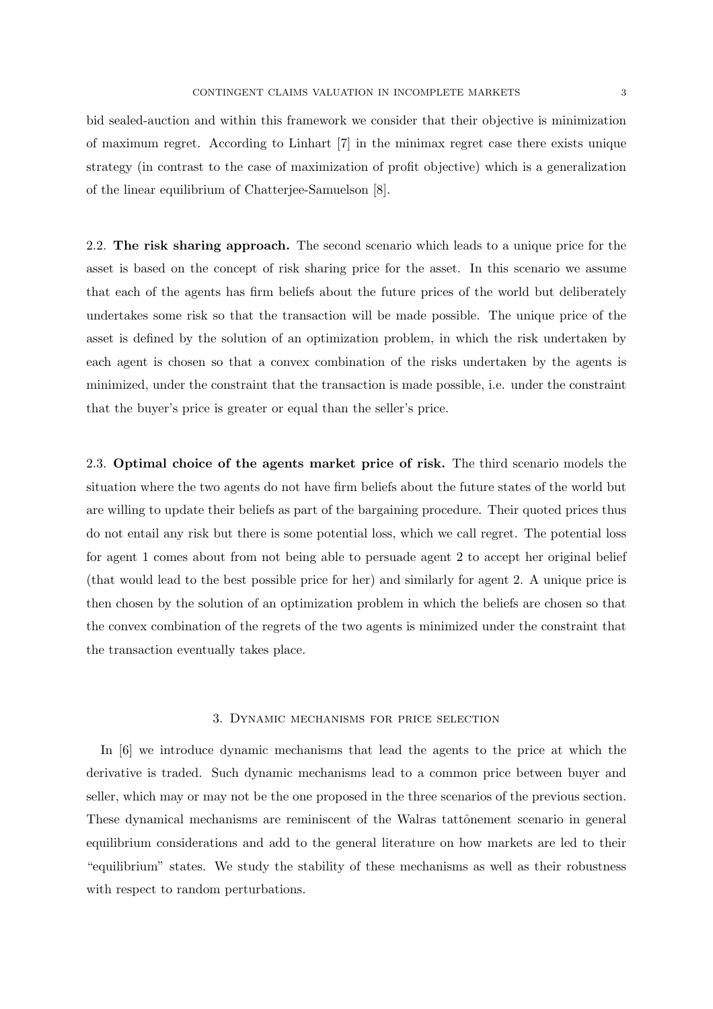bid sealed-auction and within this framework we consider that their objective is minimization of maximum regret. According to Linhart [7] in the minimax regret case there exists unique strategy (in contrast to the case of maximization of profit objective) which is a generalization of the linear equilibrium of Chatterjee-Samuelson [8].

2.2. The risk sharing approach. The second scenario which leads to a unique price for the asset is based on the concept of risk sharing price for the asset. In this scenario we assume that each of the agents has firm beliefs about the future prices of the world but deliberately undertakes some risk so that the transaction will be made possible. The unique price of the asset is defined by the solution of an optimization problem, in which the risk undertaken by each agent is chosen so that a convex combination of the risks undertaken by the agents is minimized, under the constraint that the transaction is made possible, i.e. under the constraint that the buyer's price is greater or equal than the seller's price.

2.3. Optimal choice of the agents market price of risk. The third scenario models the situation where the two agents do not have firm beliefs about the future states of the world but are willing to update their beliefs as part of the bargaining procedure. Their quoted prices thus do not entail any risk but there is some potential loss, which we call regret. The potential loss for agent 1 comes about from not being able to persuade agent 2 to accept her original belief (that would lead to the best possible price for her) and similarly for agent 2. A unique price is then chosen by the solution of an optimization problem in which the beliefs are chosen so that the convex combination of the regrets of the two agents is minimized under the constraint that the transaction eventually takes place.

## 3. Dynamic mechanisms for price selection

In [6] we introduce dynamic mechanisms that lead the agents to the price at which the derivative is traded. Such dynamic mechanisms lead to a common price between buyer and seller, which may or may not be the one proposed in the three scenarios of the previous section. These dynamical mechanisms are reminiscent of the Walras tattônement scenario in general equilibrium considerations and add to the general literature on how markets are led to their "equilibrium" states. We study the stability of these mechanisms as well as their robustness with respect to random perturbations.